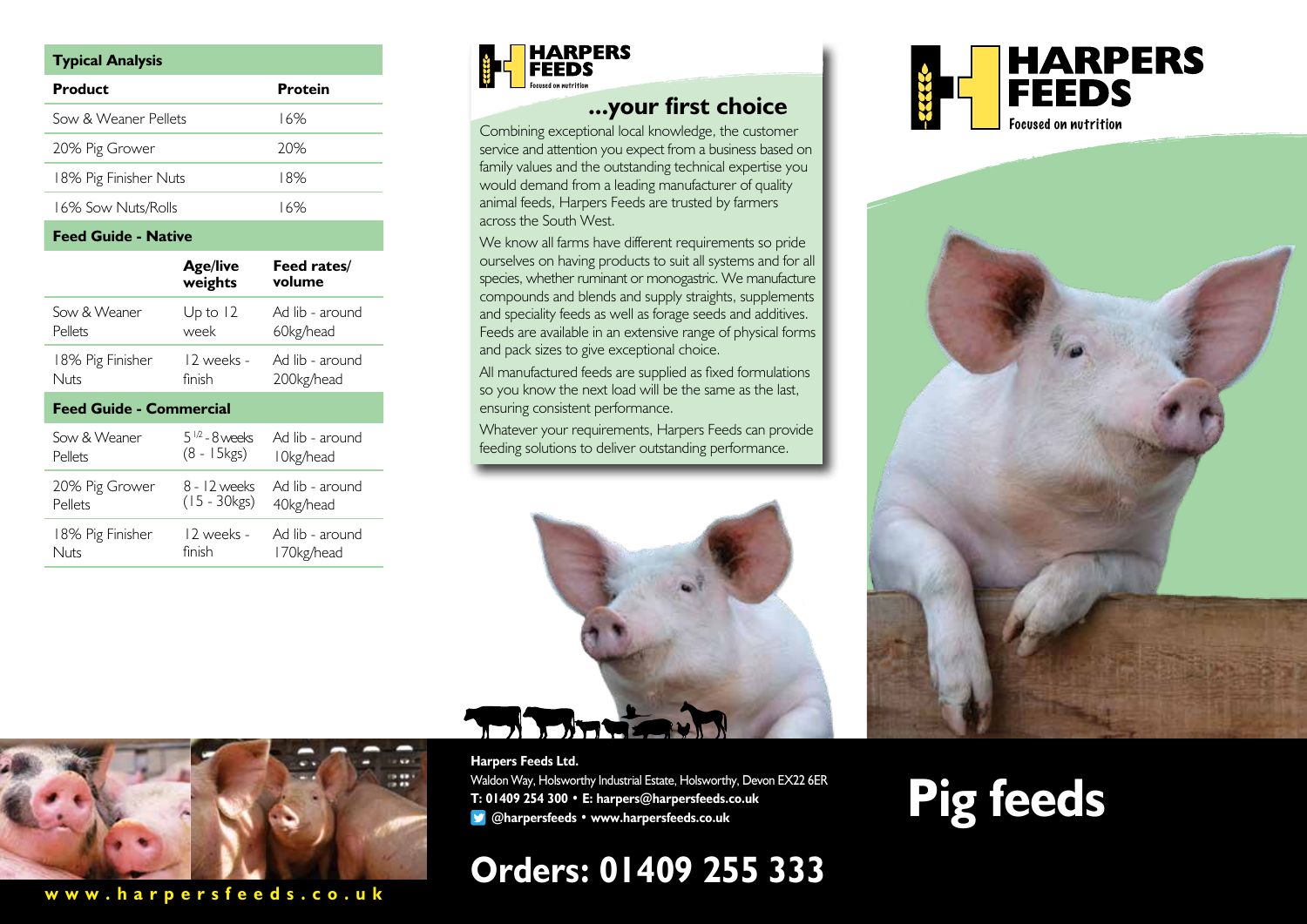| <b>Typical Analysis</b> |         |  |
|-------------------------|---------|--|
| Product                 | Protein |  |
| Sow & Weaner Pellets    | 16%     |  |
| 20% Pig Grower          | 20%     |  |
| 18% Pig Finisher Nuts   | 18%     |  |
| 16% Sow Nuts/Rolls      | 16%     |  |

#### **Feed Guide - Native**

|                                | <b>Age/live</b><br>weights | Feed rates/<br>volume |
|--------------------------------|----------------------------|-----------------------|
| Sow & Weaner                   | Up to $12$                 | Ad lib - around       |
| Pellets                        | week                       | 60kg/head             |
| 18% Pig Finisher               | 12 weeks -                 | Ad lib - around       |
| Nuts                           | finish                     | 200kg/head            |
| <b>Feed Guide - Commercial</b> |                            |                       |
| Sow & Weaner                   | $5^{1/2} - 8$ weeks        | Ad lib - around       |
| Pellets                        | $(8 - 15kgs)$              | l 0kg/head            |
| 20% Pig Grower                 | 8 - 12 weeks               | Ad lib - around       |
| Pellets                        | $(15 - 30kgs)$             | 40kg/head             |
| 18% Pig Finisher               | 12 weeks -                 | Ad lib - around       |
| Nuts                           | finish                     | 170kg/head            |



### **...your first choice**

Combining exceptional local knowledge, the customer service and attention you expect from a business based on family values and the outstanding technical expertise you would demand from a leading manufacturer of quality animal feeds, Harpers Feeds are trusted by farmers across the South West.

We know all farms have different requirements so pride ourselves on having products to suit all systems and for all species, whether ruminant or monogastric. We manufacture compounds and blends and supply straights, supplements and speciality feeds as well as forage seeds and additives. Feeds are available in an extensive range of physical forms and pack sizes to give exceptional choice.

All manufactured feeds are supplied as fixed formulations so you know the next load will be the same as the last, ensuring consistent performance.

Whatever your requirements, Harpers Feeds can provide feeding solutions to deliver outstanding performance.



**www.harpersfeeds.co.uk**

#### **Harpers Feeds Ltd.**

Waldon Way, Holsworthy Industrial Estate, Holsworthy, Devon EX22 6ER **T: 01409 254 300 • E: harpers@harpersfeeds.co.uk @harpersfeeds • www.harpersfeeds.co.uk**

# **Orders: 01409 255 333**





# **Pig feeds**